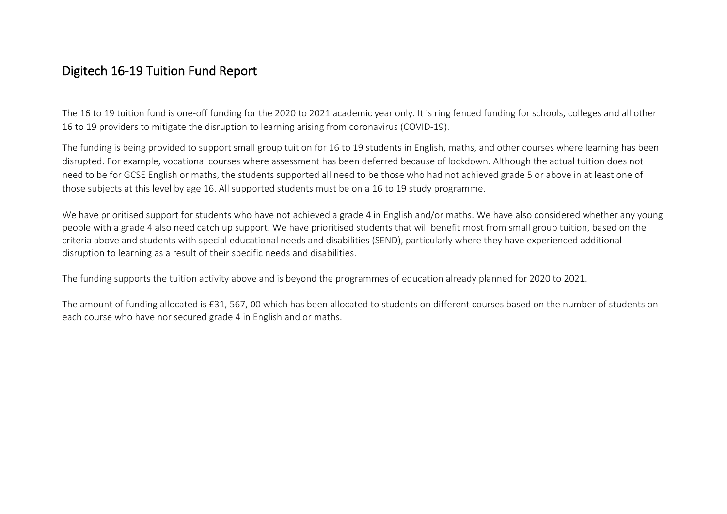## Digitech 16-19 Tuition Fund Report

The 16 to 19 tuition fund is one-off funding for the 2020 to 2021 academic year only. It is ring fenced funding for schools, colleges and all other 16 to 19 providers to mitigate the disruption to learning arising from coronavirus (COVID-19).

The funding is being provided to support small group tuition for 16 to 19 students in English, maths, and other courses where learning has been disrupted. For example, vocational courses where assessment has been deferred because of lockdown. Although the actual tuition does not need to be for GCSE English or maths, the students supported all need to be those who had not achieved grade 5 or above in at least one of those subjects at this level by age 16. All supported students must be on a 16 to 19 study programme.

We have prioritised support for students who have not achieved a grade 4 in English and/or maths. We have also considered whether any young people with a grade 4 also need catch up support. We have prioritised students that will benefit most from small group tuition, based on the criteria above and students with special educational needs and disabilities (SEND), particularly where they have experienced additional disruption to learning as a result of their specific needs and disabilities.

The funding supports the tuition activity above and is beyond the programmes of education already planned for 2020 to 2021.

The amount of funding allocated is £31, 567, 00 which has been allocated to students on different courses based on the number of students on each course who have nor secured grade 4 in English and or maths.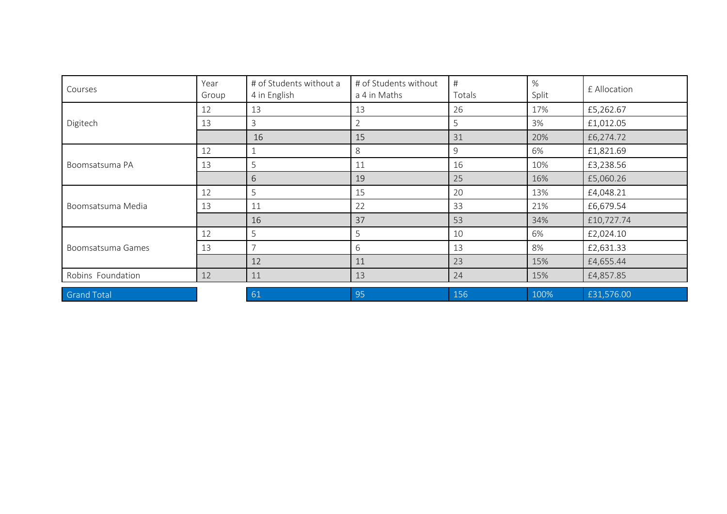| Courses            | Year<br>Group | # of Students without a<br>4 in English | # of Students without<br>a 4 in Maths | #<br>Totals | %<br>Split | £ Allocation |
|--------------------|---------------|-----------------------------------------|---------------------------------------|-------------|------------|--------------|
| Digitech           | 12            | 13                                      | 13                                    | 26          | 17%        | £5,262.67    |
|                    | 13            | 3                                       | 2                                     | 5           | 3%         | £1,012.05    |
|                    |               | 16                                      | 15                                    | 31          | 20%        | £6,274.72    |
| Boomsatsuma PA     | 12            |                                         | 8                                     | 9           | 6%         | £1,821.69    |
|                    | 13            | 5                                       | 11                                    | 16          | 10%        | £3,238.56    |
|                    |               | 6                                       | 19                                    | 25          | 16%        | £5,060.26    |
| Boomsatsuma Media  | 12            | 5                                       | 15                                    | 20          | 13%        | £4,048.21    |
|                    | 13            | 11                                      | 22                                    | 33          | 21%        | £6,679.54    |
|                    |               | 16                                      | 37                                    | 53          | 34%        | £10,727.74   |
| Boomsatsuma Games  | 12            | 5                                       | 5                                     | 10          | 6%         | £2,024.10    |
|                    | 13            | $\overline{\phantom{0}}$                | 6                                     | 13          | 8%         | £2,631.33    |
|                    |               | 12                                      | 11                                    | 23          | 15%        | £4,655.44    |
| Robins Foundation  | 12            | 11                                      | 13                                    | 24          | 15%        | £4,857.85    |
| <b>Grand Total</b> |               | 61                                      | 95                                    | 156         | 100%       | £31,576.00   |